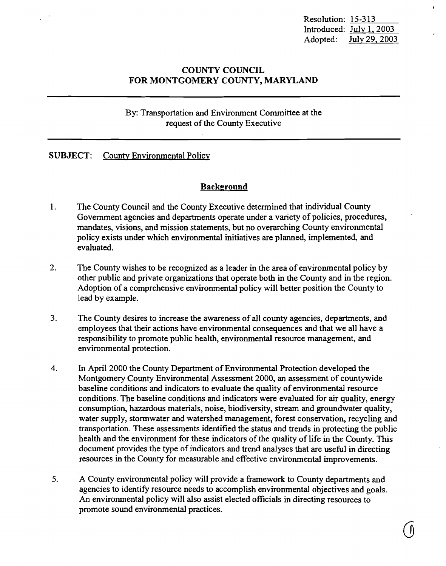Resolution: 15-313 Introduced: July 1, 2003 Adopted: July 29,2003

# COUNTY COUNCIL FOR MONTGOMERY COUNTY, MARYLAND

# By: Transportation and Environment Committee at the request of the County Executive

# SUBJECT: County Environmental Policy

# **Background**

- 1. The County Council and the County Executive determined that individual County Government agencies and departments operate under a variety of policies, procedures, mandates, visions, and mission statements, but no overarching County environmental policy exists under which environmental initiatives are planned, implemented, and evaluated.
- 2. The County wishes to be recognized as a leader in the area of environmental policy by other public and private organizations that operate both in the County and in the region. Adoption of a comprehensive environmental policy will better position the County to lead by example.
- 3. The County desires to increase the awareness of all county agencies, departments, and employees that their actions have environmental consequences and that we all have a responsibility to promote public health, environmental resource management, and environmental protection.
- 4. In April 2000 the County Department of Environmental Protection developed the Montgomery County Environmental Assessment 2000, an assessment of countywide baseline conditions and indicators to evaluate the quality of environmental resource conditions. The baseline conditions and indicators were evaluated for air quality, energy consumption, hazardous materials, noise, biodiversity, stream and groundwater quality, water supply, stormwater and watershed management, forest conservation, recycling and transportation. These assessments identified the status and trends in protecting the public health and the environment for these indicators of the quality of life in the County. This document provides the type of indicators and trend analyses that are useful in directing resources in the County for measurable and effective environmental improvements.
- 5. A County environmental policy will provide a framework to County departments and agencies to identify resource needs to accomplish environmental objectives and goals. An environmental policy will also assist elected officials in directing resources to promote sound environmental practices.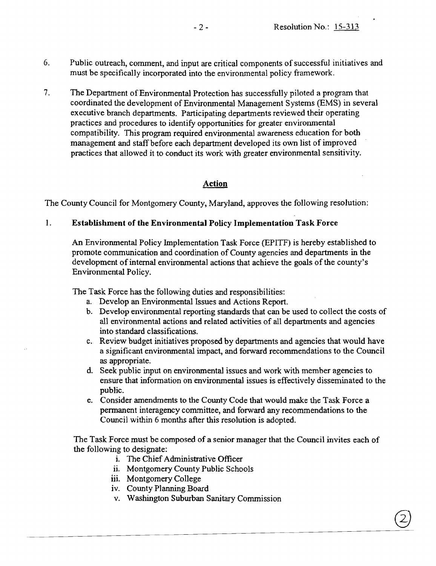- 6. Public outreach, comment, and input are critical components of successful initiatives and must be specifically incorporated into the environmental policy framework.
- 7. The Department of Environmental Protection has successfully piloted a program that coordinated the development of Environmental Management Systems (EMS) in several executive branch departments. Participating departments reviewed their operating practices and procedures to identify opportunities for greater environmental compatibility. This program required environmental awareness education for both management and staff before each department developed its own list of improved practices that allowed it to conduct its work with greater environmental sensitivity.

# **Action**

The County Council for Montgomery County, Maryland, approves the following resolution:

## 1. **Establishment of the Environmental Policy Implementation Task Force**

An Environmental Policy Implementation Task Force (EPITF) is hereby established to promote communication and coordination of County agencies and departments in the development of internal environmental actions that achieve the goals of the county's Environmental Policy.

The Task Force has the following duties and responsibilities:

- a. Develop an Environmental Issues and Actions Report.
- b. Develop environmental reporting standards that can be used to collect the costs of all environmental actions and related activities of all departments and agencies into standard classifications.
- c. Review budget initiatives proposed by departments and agencies that would have a significant environmental impact, and forward recommendations to the Council as appropriate.
- d. Seek public input on environmental issues and work with member agencies to ensure that infonnation on environmental issues is effectively disseminated to the public.
- e. Consider amendments to the County Code that would make the Task Force a permanent interagency committee, and forward any recommendations to the Council within 6 months after this resolution is adopted.

The Task Force must be composed of a senior manager that the Council invites each of the following to designate:

- i. The Chief Administrative Officer
- ii. Montgomery County Public Schools
- iii. Montgomery College
- iv. County Planning Board
- v. Washington Suburban Sanitary Commission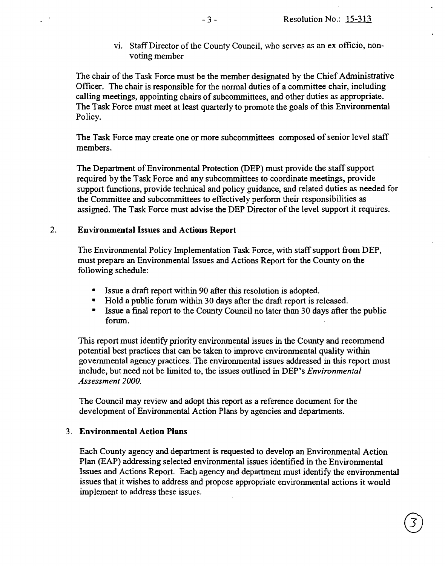vi. Staff Director of the County Council, who serves as an ex officio, nonvoting member

The chair of the Task Force must be the member designated by the Chief Administrative Officer. The chair is responsible for the normal duties of a committee chair, including calling meetings, appointing chairs of subcommittees, and other duties as appropriate. The Task Force must meet at least quarterly to promote the goals of this Environmental Policy.

The Task Force may create one or more subcommittees composed of senior level staff members.

The Department of Environmental Protection (DEP) must provide the staff support required by the Task Force and any subcommittees to coordinate meetings, provide support functions, provide technical and policy guidance, and related duties as needed for the Committee and subcommittees to effectively perform their responsibilities as assigned. The Task Force must advise the DEP Director of the level support it requires.

### 2. Environmental Issues and Actions Report

The Environmental Policy Implementation Task Force, with staff support from DEP, must prepare an Environmental Issues and Actions Report for the County on the following schedule:

- • Issue a draft report within 90 after this resolution is adopted.
- Hold a public forum within 30 days after the draft report is released.
- $\blacksquare$  Issue a final report to the County Council no later than 30 days after the public forum.

This report must identify priority environmental issues in the County and recommend potential best practices that can be taken to improve environmental quality within governmental agency practices. The environmental issues addressed in this report must include, but need not be limited to, the issues outlined in DEP's *Environmental Assessment 2000.* 

The Council may review and adopt this report as a reference document for the development of Environmental Action Plans by agencies and departments.

#### 3. Environmental Action Plans

Each County agency and department is requested to develop an Environmental Action Plan (EAP) addressing selected environmental issues identified in the Environmental Issues and Actions Report. Each agency and department must identify the environmental issues that it wishes to address and propose appropriate environmental actions it would implement to address these issues.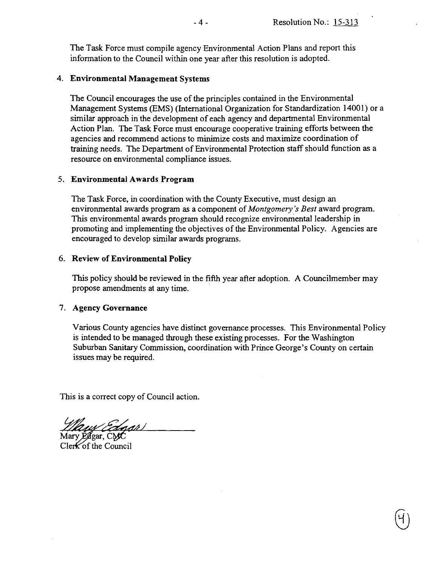The Task Force must compile agency Environmental Action Plans and report this infonnation to the Council within one year after this resolution is adopted.

### 4. **Environmental Management** Systems

The Council encourages the use of the principles contained in the Environmental Management Systems (EMS) (International Organization for Standardization 14001) or a similar approach in the development of each agency and departmental Environmental Action Plan. The Task Force must encourage cooperative training efforts between the agencies and recommend actions to minimize costs and maximize coordination of training needs. The Department of Environmental Protection staff should function as a resource on environmental compliance issues.

### 5. **Environmental Awards Program**

The Task Force, in coordination with the County Executive, must design an environmental awards program as a component of *Montgomery's Best* award program. This environmental awards program should recognize environmental leadership in promoting and implementing the objectives of the Environmental Policy. Agencies are encouraged to develop similar awards programs.

### 6. **Review of Environmental Policy**

This policy should be reviewed in the fifth year after adoption. A Councilmember may propose amendments at any time. .

### 7. **Agency Governance**

Various County agencies have distinct governance processes. This Environmental Policy is intended to be managed through these existing processes. For the Washington Suburban Sanitary Commission, coordination with Prince George's County on certain issues may be required.

This is a correct copy of Council action.

*Llaw Edgar)*<br>Mary Edgar, CMC<br>Clerk of the Council

Clerk of the Council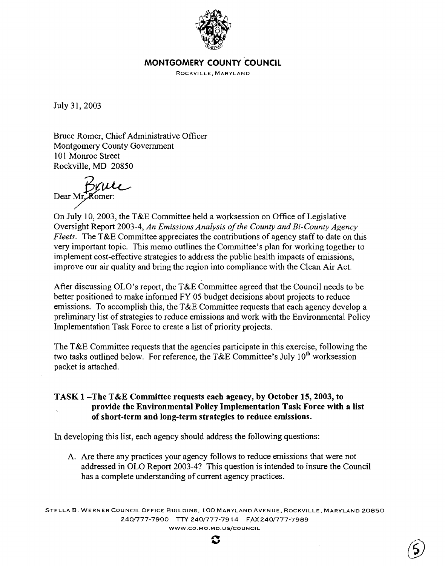

## MONTGOMERY COUNTY COUNCIL

ROCKVILLE, MARYLAND

July 31, 2003

Bruce Romer, Chief Administrative Officer Montgomery County Government 101 Monroe Street Rockville, MD 20850

Bruce Dear Mr. Komer:

On July 10,2003, the T&E Committee held a worksession on Office of Legislative Oversight Report 2003-4, *An Emissions Analysis of the County and Bi-County Agency Fleets.* The T&E Committee appreciates the contributions of agency staff to date on this very important topic. This memo outlines the Committee's plan for working together to implement cost-effective strategies to address the public health impacts of emissions, improve our air quality and bring the region into compliance with the Clean Air Act.

After discussing OLO's report, the  $T\&E$  Committee agreed that the Council needs to be better positioned to make informed FY 05 budget decisions about projects to reduce emissions. To accomplish this, the T&E Committee requests that each agency develop a preliminary list of strategies to reduce emissions and work with the Environmental Policy Implementation Task Force to create a list of priority projects.

The T&E Committee requests that the agencies participate in this exercise, following the two tasks outlined below. For reference, the T&E Committee's July  $10^{th}$  worksession packet is attached.

## TASK I-The T&E Committee requests each agency, by October 15, 2003, to provide the Environmental Policy Implementation Task Force with a list of short-term and long-term strategies to reduce emissions.

In developing this list, each agency should address the following questions:

A. Are there any practices your agency follows to reduce emissions that were not addressed in OLO Report 2003-4? This question is intended to insure the Council has a complete understanding of current agency practices.

STELLA B. WERNER COUNCIL OFFICE BUILDING, 100 MARYLAND AVENUE, ROCKVILLE, MARYLAND 20850 240/777-7900 TTY 240/777-7914 FAX 240/777-7989 WWW.CO.MO.MD.USjCOUNCIL



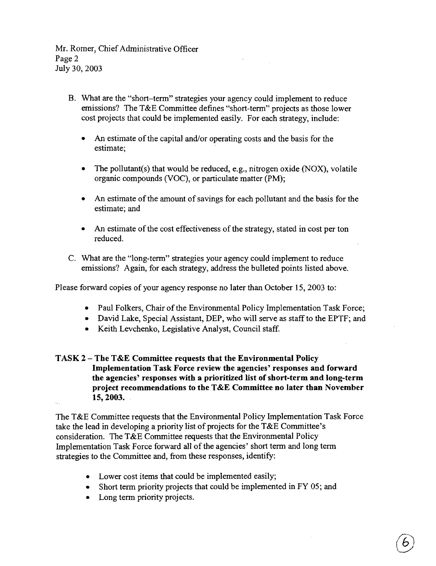Mr. Romer, Chief Administrative Officer Page 2 July 30, 2003

- B. What are the "short-term" strategies your agency could implement to reduce emissions? The T&E Committee defines "short-term" projects as those lower cost projects that could be implemented easily. For each strategy, include:
	- An estimate of the capital and/or operating costs and the basis for the estimate;
	- The pollutant(s) that would be reduced, e.g., nitrogen oxide (NOX), volatile organic compounds (VOC), or particulate matter (PM);
	- An estimate of the amount of savings for each pollutant and the basis for the estimate; and
	- An estimate of the cost effectiveness of the strategy, stated in cost per ton reduced.
- C. What are the "long-term" strategies your agency could implement to reduce emissions? Again, for each strategy, address the bulleted points listed above.

Please forward copies of your agency response no later than October 15, 2003 to:

- Paul Folkers, Chair of the Environmental Policy Implementation Task Force;
- David Lake, Special Assistant, DEP, who will serve as staff to the EPTF; and
- Keith Levchenko, Legislative Analyst, Council staff.
- **TASK 2 - The T&E Committee requests that the Environmental Policy Implementation Task Force review the agencies' responses and forward the agencies' responses with a prioritized list of short-term and long-term project recommendations to the T&E Committee no later than November 15,2003.**

The T&E Committee requests that the Environmental Policy Implementation Task Force take the lead in developing a priority list of projects for the T&E Committee's consideration. The T&E Committee requests that the Environmental Policy Implementation Task Force forward all of the agencies' short term and long tenn strategies to the Committee and, from these responses, identify:

- Lower cost items that could be implemented easily;
- Short term priority projects that could be implemented in FY 05; and
- Long term priority projects.